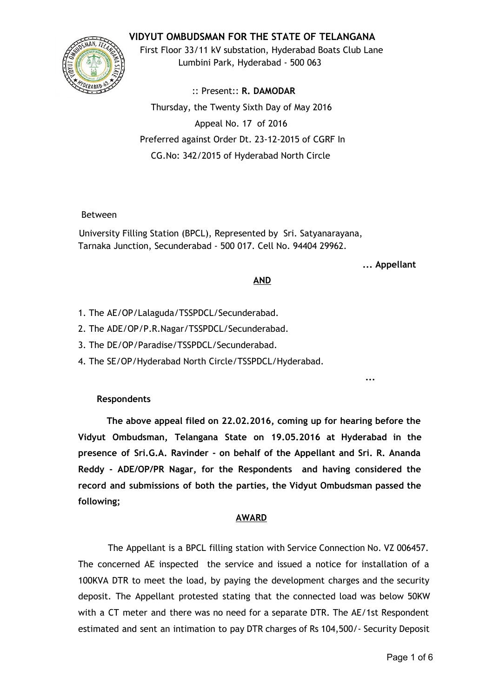### **VIDYUT OMBUDSMAN FOR THE STATE OF TELANGANA**



First Floor 33/11 kV substation, Hyderabad Boats Club Lane Lumbini Park, Hyderabad ‐ 500 063

:: Present:: **R. DAMODAR** Thursday, the Twenty Sixth Day of May 2016 Appeal No. 17 of 2016 Preferred against Order Dt. 23‐12‐2015 of CGRF In CG.No: 342/2015 of Hyderabad North Circle

#### Between

University Filling Station (BPCL), Represented by Sri. Satyanarayana, Tarnaka Junction, Secunderabad ‐ 500 017. Cell No. 94404 29962.

**... Appellant**

**...**

### **AND**

- 1. The AE/OP/Lalaguda/TSSPDCL/Secunderabad.
- 2. The ADE/OP/P.R.Nagar/TSSPDCL/Secunderabad.
- 3. The DE/OP/Paradise/TSSPDCL/Secunderabad.
- 4. The SE/OP/Hyderabad North Circle/TSSPDCL/Hyderabad.

### **Respondents**

**The above appeal filed on 22.02.2016, coming up for hearing before the Vidyut Ombudsman, Telangana State on 19.05.2016 at Hyderabad in the presence of Sri.G.A. Ravinder ‐ on behalf of the Appellant and Sri. R. Ananda Reddy ‐ ADE/OP/PR Nagar, for the Respondents and having considered the record and submissions of both the parties, the Vidyut Ombudsman passed the following;**

### **AWARD**

The Appellant is a BPCL filling station with Service Connection No. VZ 006457. The concerned AE inspected the service and issued a notice for installation of a 100KVA DTR to meet the load, by paying the development charges and the security deposit. The Appellant protested stating that the connected load was below 50KW with a CT meter and there was no need for a separate DTR. The AE/1st Respondent estimated and sent an intimation to pay DTR charges of Rs 104,500/‐ Security Deposit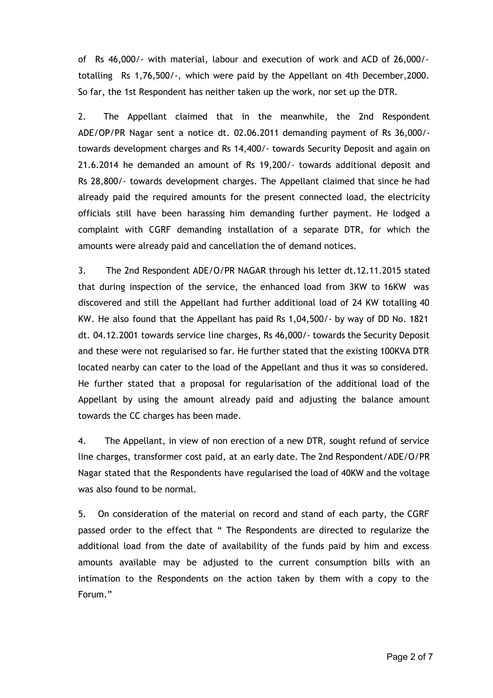of Rs 46,000/‐ with material, labour and execution of work and ACD of 26,000/‐ totalling Rs 1,76,500/‐, which were paid by the Appellant on 4th December,2000. So far, the 1st Respondent has neither taken up the work, nor set up the DTR.

2. The Appellant claimed that in the meanwhile, the 2nd Respondent ADE/OP/PR Nagar sent a notice dt. 02.06.2011 demanding payment of Rs 36,000/‐ towards development charges and Rs 14,400/‐ towards Security Deposit and again on 21.6.2014 he demanded an amount of Rs 19,200/‐ towards additional deposit and Rs 28,800/‐ towards development charges. The Appellant claimed that since he had already paid the required amounts for the present connected load, the electricity officials still have been harassing him demanding further payment. He lodged a complaint with CGRF demanding installation of a separate DTR, for which the amounts were already paid and cancellation the of demand notices.

3. The 2nd Respondent ADE/O/PR NAGAR through his letter dt.12.11.2015 stated that during inspection of the service, the enhanced load from 3KW to 16KW was discovered and still the Appellant had further additional load of 24 KW totalling 40 KW. He also found that the Appellant has paid Rs 1,04,500/‐ by way of DD No. 1821 dt. 04.12.2001 towards service line charges, Rs 46,000/‐ towards the Security Deposit and these were not regularised so far. He further stated that the existing 100KVA DTR located nearby can cater to the load of the Appellant and thus it was so considered. He further stated that a proposal for regularisation of the additional load of the Appellant by using the amount already paid and adjusting the balance amount towards the CC charges has been made.

4. The Appellant, in view of non erection of a new DTR, sought refund of service line charges, transformer cost paid, at an early date. The 2nd Respondent/ADE/O/PR Nagar stated that the Respondents have regularised the load of 40KW and the voltage was also found to be normal.

5. On consideration of the material on record and stand of each party, the CGRF passed order to the effect that " The Respondents are directed to regularize the additional load from the date of availability of the funds paid by him and excess amounts available may be adjusted to the current consumption bills with an intimation to the Respondents on the action taken by them with a copy to the Forum."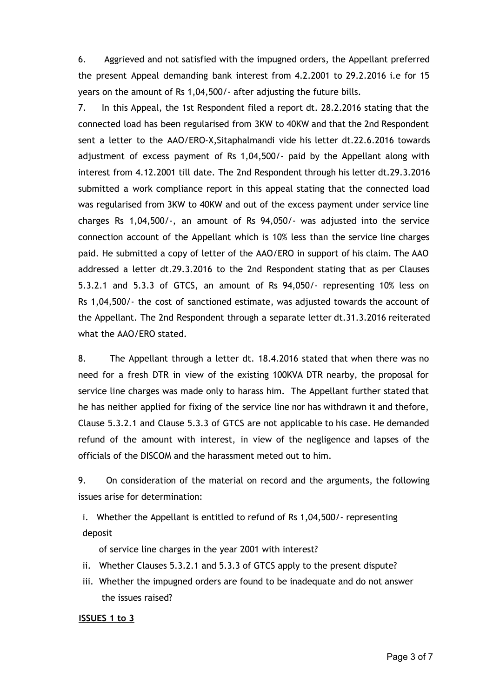6. Aggrieved and not satisfied with the impugned orders, the Appellant preferred the present Appeal demanding bank interest from 4.2.2001 to 29.2.2016 i.e for 15 years on the amount of Rs 1,04,500/‐ after adjusting the future bills.

7. In this Appeal, the 1st Respondent filed a report dt. 28.2.2016 stating that the connected load has been regularised from 3KW to 40KW and that the 2nd Respondent sent a letter to the AAO/ERO-X, Sitaphalmandi vide his letter dt.22.6.2016 towards adjustment of excess payment of Rs 1,04,500/‐ paid by the Appellant along with interest from 4.12.2001 till date. The 2nd Respondent through his letter dt.29.3.2016 submitted a work compliance report in this appeal stating that the connected load was regularised from 3KW to 40KW and out of the excess payment under service line charges Rs 1,04,500/‐, an amount of Rs 94,050/‐ was adjusted into the service connection account of the Appellant which is 10% less than the service line charges paid. He submitted a copy of letter of the AAO/ERO in support of his claim. The AAO addressed a letter dt.29.3.2016 to the 2nd Respondent stating that as per Clauses 5.3.2.1 and 5.3.3 of GTCS, an amount of Rs 94,050/‐ representing 10% less on Rs 1,04,500/‐ the cost of sanctioned estimate, was adjusted towards the account of the Appellant. The 2nd Respondent through a separate letter dt.31.3.2016 reiterated what the AAO/ERO stated.

8. The Appellant through a letter dt. 18.4.2016 stated that when there was no need for a fresh DTR in view of the existing 100KVA DTR nearby, the proposal for service line charges was made only to harass him. The Appellant further stated that he has neither applied for fixing of the service line nor has withdrawn it and thefore, Clause 5.3.2.1 and Clause 5.3.3 of GTCS are not applicable to his case. He demanded refund of the amount with interest, in view of the negligence and lapses of the officials of the DISCOM and the harassment meted out to him.

9. On consideration of the material on record and the arguments, the following issues arise for determination:

i. Whether the Appellant is entitled to refund of Rs 1,04,500/‐ representing deposit

of service line charges in the year 2001 with interest?

- ii. Whether Clauses 5.3.2.1 and 5.3.3 of GTCS apply to the present dispute?
- iii. Whether the impugned orders are found to be inadequate and do not answer the issues raised?

#### **ISSUES 1 to 3**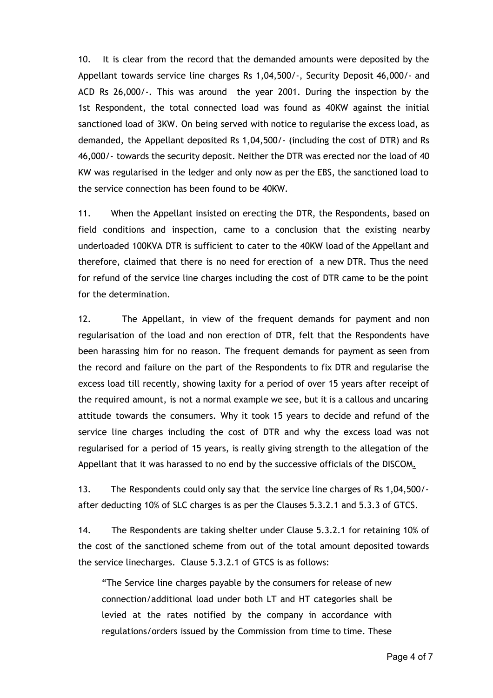10. It is clear from the record that the demanded amounts were deposited by the Appellant towards service line charges Rs 1,04,500/‐, Security Deposit 46,000/‐ and ACD Rs 26,000/‐. This was around the year 2001. During the inspection by the 1st Respondent, the total connected load was found as 40KW against the initial sanctioned load of 3KW. On being served with notice to regularise the excess load, as demanded, the Appellant deposited Rs 1,04,500/‐ (including the cost of DTR) and Rs 46,000/‐ towards the security deposit. Neither the DTR was erected nor the load of 40 KW was regularised in the ledger and only now as per the EBS, the sanctioned load to the service connection has been found to be 40KW.

11. When the Appellant insisted on erecting the DTR, the Respondents, based on field conditions and inspection, came to a conclusion that the existing nearby underloaded 100KVA DTR is sufficient to cater to the 40KW load of the Appellant and therefore, claimed that there is no need for erection of a new DTR. Thus the need for refund of the service line charges including the cost of DTR came to be the point for the determination.

12. The Appellant, in view of the frequent demands for payment and non regularisation of the load and non erection of DTR, felt that the Respondents have been harassing him for no reason. The frequent demands for payment as seen from the record and failure on the part of the Respondents to fix DTR and regularise the excess load till recently, showing laxity for a period of over 15 years after receipt of the required amount, is not a normal example we see, but it is a callous and uncaring attitude towards the consumers. Why it took 15 years to decide and refund of the service line charges including the cost of DTR and why the excess load was not regularised for a period of 15 years, is really giving strength to the allegation of the Appellant that it was harassed to no end by the successive officials of the DISCOM.

13. The Respondents could only say that the service line charges of Rs 1,04,500/‐ after deducting 10% of SLC charges is as per the Clauses 5.3.2.1 and 5.3.3 of GTCS.

14. The Respondents are taking shelter under Clause 5.3.2.1 for retaining 10% of the cost of the sanctioned scheme from out of the total amount deposited towards the service linecharges. Clause 5.3.2.1 of GTCS is as follows:

"The Service line charges payable by the consumers for release of new connection/additional load under both LT and HT categories shall be levied at the rates notified by the company in accordance with regulations/orders issued by the Commission from time to time. These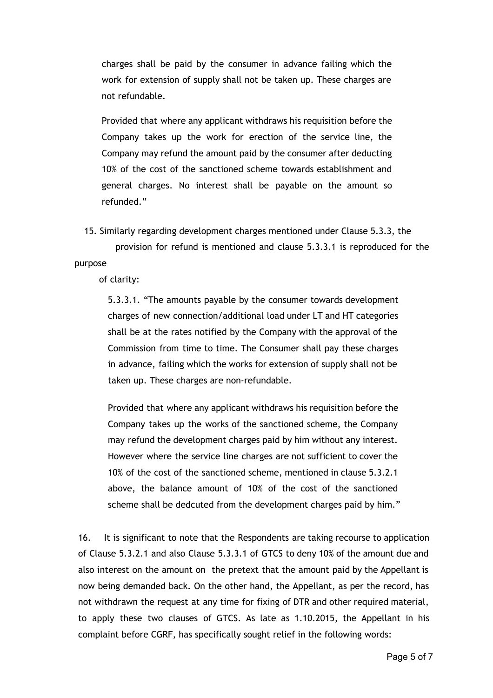charges shall be paid by the consumer in advance failing which the work for extension of supply shall not be taken up. These charges are not refundable.

Provided that where any applicant withdraws his requisition before the Company takes up the work for erection of the service line, the Company may refund the amount paid by the consumer after deducting 10% of the cost of the sanctioned scheme towards establishment and general charges. No interest shall be payable on the amount so refunded."

15. Similarly regarding development charges mentioned under Clause 5.3.3, the

provision for refund is mentioned and clause 5.3.3.1 is reproduced for the purpose

of clarity:

5.3.3.1. "The amounts payable by the consumer towards development charges of new connection/additional load under LT and HT categories shall be at the rates notified by the Company with the approval of the Commission from time to time. The Consumer shall pay these charges in advance, failing which the works for extension of supply shall not be taken up. These charges are non‐refundable.

Provided that where any applicant withdraws his requisition before the Company takes up the works of the sanctioned scheme, the Company may refund the development charges paid by him without any interest. However where the service line charges are not sufficient to cover the 10% of the cost of the sanctioned scheme, mentioned in clause 5.3.2.1 above, the balance amount of 10% of the cost of the sanctioned scheme shall be dedcuted from the development charges paid by him."

16. It is significant to note that the Respondents are taking recourse to application of Clause 5.3.2.1 and also Clause 5.3.3.1 of GTCS to deny 10% of the amount due and also interest on the amount on the pretext that the amount paid by the Appellant is now being demanded back. On the other hand, the Appellant, as per the record, has not withdrawn the request at any time for fixing of DTR and other required material, to apply these two clauses of GTCS. As late as 1.10.2015, the Appellant in his complaint before CGRF, has specifically sought relief in the following words: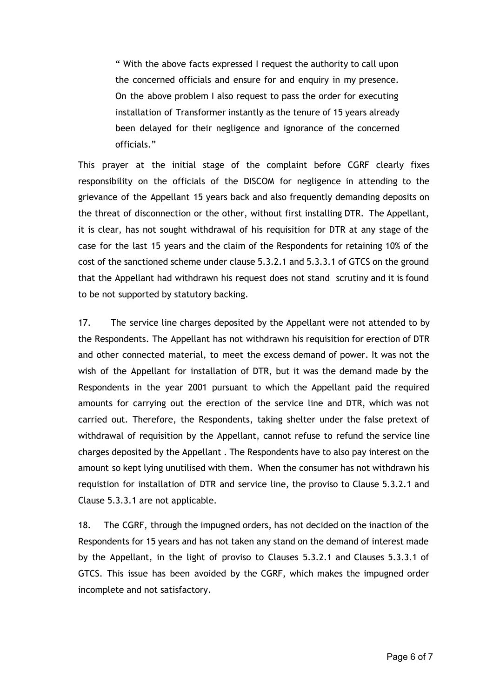" With the above facts expressed I request the authority to call upon the concerned officials and ensure for and enquiry in my presence. On the above problem I also request to pass the order for executing installation of Transformer instantly as the tenure of 15 years already been delayed for their negligence and ignorance of the concerned officials."

This prayer at the initial stage of the complaint before CGRF clearly fixes responsibility on the officials of the DISCOM for negligence in attending to the grievance of the Appellant 15 years back and also frequently demanding deposits on the threat of disconnection or the other, without first installing DTR. The Appellant, it is clear, has not sought withdrawal of his requisition for DTR at any stage of the case for the last 15 years and the claim of the Respondents for retaining 10% of the cost of the sanctioned scheme under clause 5.3.2.1 and 5.3.3.1 of GTCS on the ground that the Appellant had withdrawn his request does not stand scrutiny and it is found to be not supported by statutory backing.

17. The service line charges deposited by the Appellant were not attended to by the Respondents. The Appellant has not withdrawn his requisition for erection of DTR and other connected material, to meet the excess demand of power. It was not the wish of the Appellant for installation of DTR, but it was the demand made by the Respondents in the year 2001 pursuant to which the Appellant paid the required amounts for carrying out the erection of the service line and DTR, which was not carried out. Therefore, the Respondents, taking shelter under the false pretext of withdrawal of requisition by the Appellant, cannot refuse to refund the service line charges deposited by the Appellant . The Respondents have to also pay interest on the amount so kept lying unutilised with them. When the consumer has not withdrawn his requistion for installation of DTR and service line, the proviso to Clause 5.3.2.1 and Clause 5.3.3.1 are not applicable.

18. The CGRF, through the impugned orders, has not decided on the inaction of the Respondents for 15 years and has not taken any stand on the demand of interest made by the Appellant, in the light of proviso to Clauses 5.3.2.1 and Clauses 5.3.3.1 of GTCS. This issue has been avoided by the CGRF, which makes the impugned order incomplete and not satisfactory.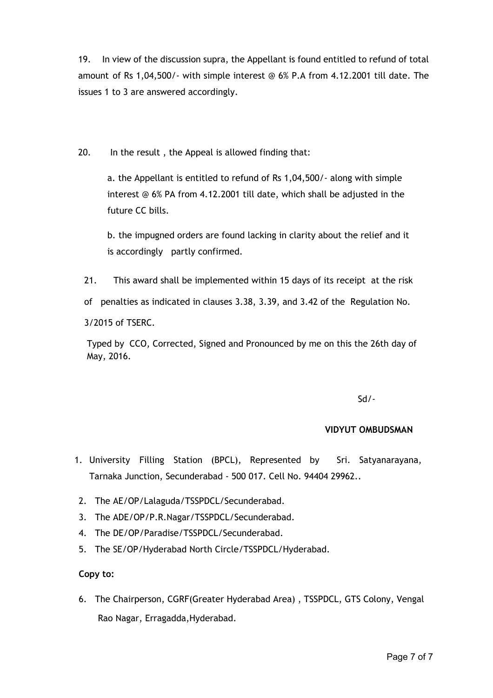19. In view of the discussion supra, the Appellant is found entitled to refund of total amount of Rs 1,04,500/‐ with simple interest @ 6% P.A from 4.12.2001 till date. The issues 1 to 3 are answered accordingly.

20. In the result , the Appeal is allowed finding that:

a. the Appellant is entitled to refund of Rs 1,04,500/‐ along with simple interest @ 6% PA from 4.12.2001 till date, which shall be adjusted in the future CC bills.

b. the impugned orders are found lacking in clarity about the relief and it is accordingly partly confirmed.

21. This award shall be implemented within 15 days of its receipt at the risk

of penalties as indicated in clauses 3.38, 3.39, and 3.42 of the Regulation No.

3/2015 of TSERC.

Typed by CCO, Corrected, Signed and Pronounced by me on this the 26th day of May, 2016.

Sd/‐

# **VIDYUT OMBUDSMAN**

- 1. University Filling Station (BPCL), Represented by Sri. Satyanarayana, Tarnaka Junction, Secunderabad ‐ 500 017. Cell No. 94404 29962..
- 2. The AE/OP/Lalaguda/TSSPDCL/Secunderabad.
- 3. The ADE/OP/P.R.Nagar/TSSPDCL/Secunderabad.
- 4. The DE/OP/Paradise/TSSPDCL/Secunderabad.
- 5. The SE/OP/Hyderabad North Circle/TSSPDCL/Hyderabad.

# **Copy to:**

6. The Chairperson, CGRF(Greater Hyderabad Area) , TSSPDCL, GTS Colony, Vengal Rao Nagar, Erragadda,Hyderabad.